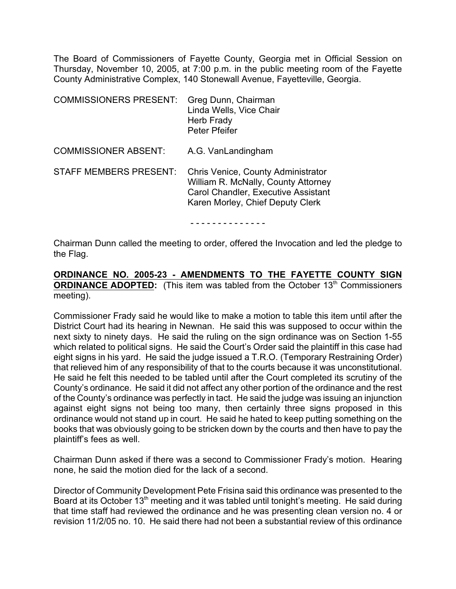The Board of Commissioners of Fayette County, Georgia met in Official Session on Thursday, November 10, 2005, at 7:00 p.m. in the public meeting room of the Fayette County Administrative Complex, 140 Stonewall Avenue, Fayetteville, Georgia.

| <b>COMMISSIONERS PRESENT:</b> | Greg Dunn, Chairman<br>Linda Wells, Vice Chair<br>Herb Frady<br><b>Peter Pfeifer</b>                                                                        |
|-------------------------------|-------------------------------------------------------------------------------------------------------------------------------------------------------------|
| <b>COMMISSIONER ABSENT:</b>   | A.G. VanLandingham                                                                                                                                          |
| <b>STAFF MEMBERS PRESENT:</b> | Chris Venice, County Administrator<br>William R. McNally, County Attorney<br><b>Carol Chandler, Executive Assistant</b><br>Karen Morley, Chief Deputy Clerk |

- - - - - - - - - - - - - -

Chairman Dunn called the meeting to order, offered the Invocation and led the pledge to the Flag.

#### **ORDINANCE NO. 2005-23 - AMENDMENTS TO THE FAYETTE COUNTY SIGN ORDINANCE ADOPTED:** (This item was tabled from the October 13<sup>th</sup> Commissioners meeting).

Commissioner Frady said he would like to make a motion to table this item until after the District Court had its hearing in Newnan. He said this was supposed to occur within the next sixty to ninety days. He said the ruling on the sign ordinance was on Section 1-55 which related to political signs. He said the Court's Order said the plaintiff in this case had eight signs in his yard. He said the judge issued a T.R.O. (Temporary Restraining Order) that relieved him of any responsibility of that to the courts because it was unconstitutional. He said he felt this needed to be tabled until after the Court completed its scrutiny of the County's ordinance. He said it did not affect any other portion of the ordinance and the rest of the County's ordinance was perfectly in tact. He said the judge was issuing an injunction against eight signs not being too many, then certainly three signs proposed in this ordinance would not stand up in court. He said he hated to keep putting something on the books that was obviously going to be stricken down by the courts and then have to pay the plaintiff's fees as well.

Chairman Dunn asked if there was a second to Commissioner Frady's motion. Hearing none, he said the motion died for the lack of a second.

Director of Community Development Pete Frisina said this ordinance was presented to the Board at its October 13<sup>th</sup> meeting and it was tabled until tonight's meeting. He said during that time staff had reviewed the ordinance and he was presenting clean version no. 4 or revision 11/2/05 no. 10. He said there had not been a substantial review of this ordinance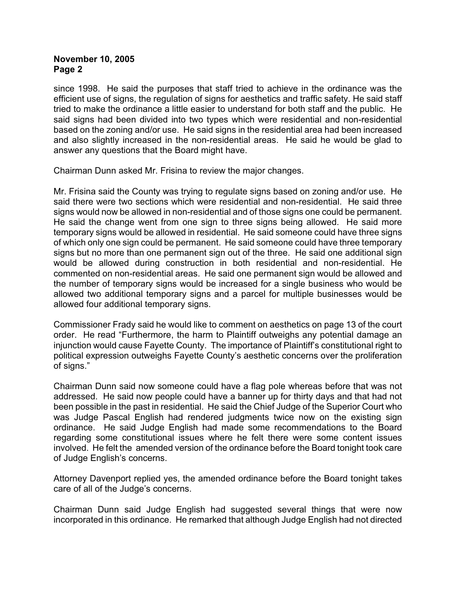since 1998. He said the purposes that staff tried to achieve in the ordinance was the efficient use of signs, the regulation of signs for aesthetics and traffic safety. He said staff tried to make the ordinance a little easier to understand for both staff and the public. He said signs had been divided into two types which were residential and non-residential based on the zoning and/or use. He said signs in the residential area had been increased and also slightly increased in the non-residential areas. He said he would be glad to answer any questions that the Board might have.

Chairman Dunn asked Mr. Frisina to review the major changes.

Mr. Frisina said the County was trying to regulate signs based on zoning and/or use. He said there were two sections which were residential and non-residential. He said three signs would now be allowed in non-residential and of those signs one could be permanent. He said the change went from one sign to three signs being allowed. He said more temporary signs would be allowed in residential. He said someone could have three signs of which only one sign could be permanent. He said someone could have three temporary signs but no more than one permanent sign out of the three. He said one additional sign would be allowed during construction in both residential and non-residential. He commented on non-residential areas. He said one permanent sign would be allowed and the number of temporary signs would be increased for a single business who would be allowed two additional temporary signs and a parcel for multiple businesses would be allowed four additional temporary signs.

Commissioner Frady said he would like to comment on aesthetics on page 13 of the court order. He read "Furthermore, the harm to Plaintiff outweighs any potential damage an injunction would cause Fayette County. The importance of Plaintiff's constitutional right to political expression outweighs Fayette County's aesthetic concerns over the proliferation of signs."

Chairman Dunn said now someone could have a flag pole whereas before that was not addressed. He said now people could have a banner up for thirty days and that had not been possible in the past in residential. He said the Chief Judge of the Superior Court who was Judge Pascal English had rendered judgments twice now on the existing sign ordinance. He said Judge English had made some recommendations to the Board regarding some constitutional issues where he felt there were some content issues involved. He felt the amended version of the ordinance before the Board tonight took care of Judge English's concerns.

Attorney Davenport replied yes, the amended ordinance before the Board tonight takes care of all of the Judge's concerns.

Chairman Dunn said Judge English had suggested several things that were now incorporated in this ordinance. He remarked that although Judge English had not directed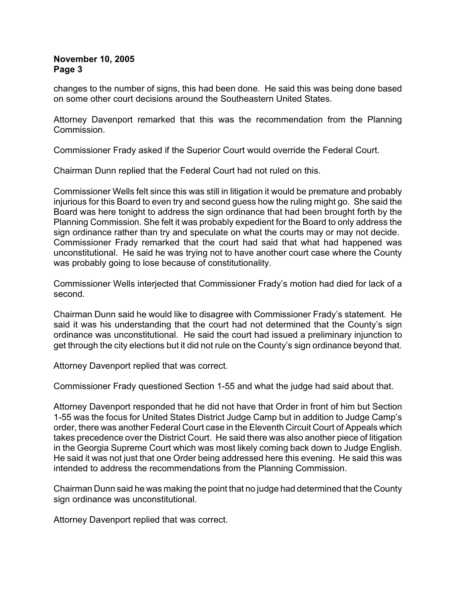changes to the number of signs, this had been done. He said this was being done based on some other court decisions around the Southeastern United States.

Attorney Davenport remarked that this was the recommendation from the Planning Commission.

Commissioner Frady asked if the Superior Court would override the Federal Court.

Chairman Dunn replied that the Federal Court had not ruled on this.

Commissioner Wells felt since this was still in litigation it would be premature and probably injurious for this Board to even try and second guess how the ruling might go. She said the Board was here tonight to address the sign ordinance that had been brought forth by the Planning Commission. She felt it was probably expedient for the Board to only address the sign ordinance rather than try and speculate on what the courts may or may not decide. Commissioner Frady remarked that the court had said that what had happened was unconstitutional. He said he was trying not to have another court case where the County was probably going to lose because of constitutionality.

Commissioner Wells interjected that Commissioner Frady's motion had died for lack of a second.

Chairman Dunn said he would like to disagree with Commissioner Frady's statement. He said it was his understanding that the court had not determined that the County's sign ordinance was unconstitutional. He said the court had issued a preliminary injunction to get through the city elections but it did not rule on the County's sign ordinance beyond that.

Attorney Davenport replied that was correct.

Commissioner Frady questioned Section 1-55 and what the judge had said about that.

Attorney Davenport responded that he did not have that Order in front of him but Section 1-55 was the focus for United States District Judge Camp but in addition to Judge Camp's order, there was another Federal Court case in the Eleventh Circuit Court of Appeals which takes precedence over the District Court. He said there was also another piece of litigation in the Georgia Supreme Court which was most likely coming back down to Judge English. He said it was not just that one Order being addressed here this evening. He said this was intended to address the recommendations from the Planning Commission.

Chairman Dunn said he was making the point that no judge had determined that the County sign ordinance was unconstitutional.

Attorney Davenport replied that was correct.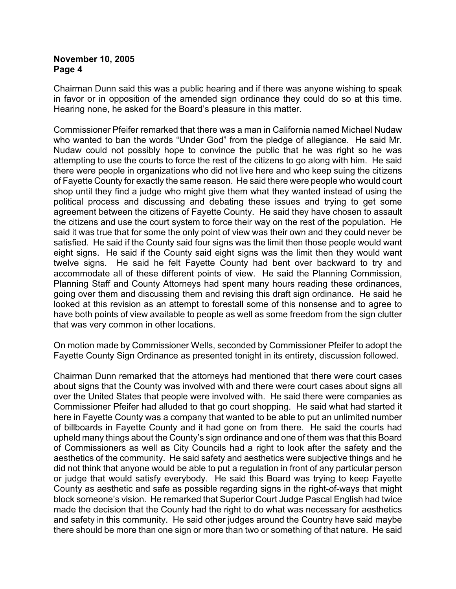Chairman Dunn said this was a public hearing and if there was anyone wishing to speak in favor or in opposition of the amended sign ordinance they could do so at this time. Hearing none, he asked for the Board's pleasure in this matter.

Commissioner Pfeifer remarked that there was a man in California named Michael Nudaw who wanted to ban the words "Under God" from the pledge of allegiance. He said Mr. Nudaw could not possibly hope to convince the public that he was right so he was attempting to use the courts to force the rest of the citizens to go along with him. He said there were people in organizations who did not live here and who keep suing the citizens of Fayette County for exactly the same reason. He said there were people who would court shop until they find a judge who might give them what they wanted instead of using the political process and discussing and debating these issues and trying to get some agreement between the citizens of Fayette County. He said they have chosen to assault the citizens and use the court system to force their way on the rest of the population. He said it was true that for some the only point of view was their own and they could never be satisfied. He said if the County said four signs was the limit then those people would want eight signs. He said if the County said eight signs was the limit then they would want twelve signs. He said he felt Fayette County had bent over backward to try and accommodate all of these different points of view. He said the Planning Commission, Planning Staff and County Attorneys had spent many hours reading these ordinances, going over them and discussing them and revising this draft sign ordinance. He said he looked at this revision as an attempt to forestall some of this nonsense and to agree to have both points of view available to people as well as some freedom from the sign clutter that was very common in other locations.

On motion made by Commissioner Wells, seconded by Commissioner Pfeifer to adopt the Fayette County Sign Ordinance as presented tonight in its entirety, discussion followed.

Chairman Dunn remarked that the attorneys had mentioned that there were court cases about signs that the County was involved with and there were court cases about signs all over the United States that people were involved with. He said there were companies as Commissioner Pfeifer had alluded to that go court shopping. He said what had started it here in Fayette County was a company that wanted to be able to put an unlimited number of billboards in Fayette County and it had gone on from there. He said the courts had upheld many things about the County's sign ordinance and one of them was that this Board of Commissioners as well as City Councils had a right to look after the safety and the aesthetics of the community. He said safety and aesthetics were subjective things and he did not think that anyone would be able to put a regulation in front of any particular person or judge that would satisfy everybody. He said this Board was trying to keep Fayette County as aesthetic and safe as possible regarding signs in the right-of-ways that might block someone's vision. He remarked that Superior Court Judge Pascal English had twice made the decision that the County had the right to do what was necessary for aesthetics and safety in this community. He said other judges around the Country have said maybe there should be more than one sign or more than two or something of that nature. He said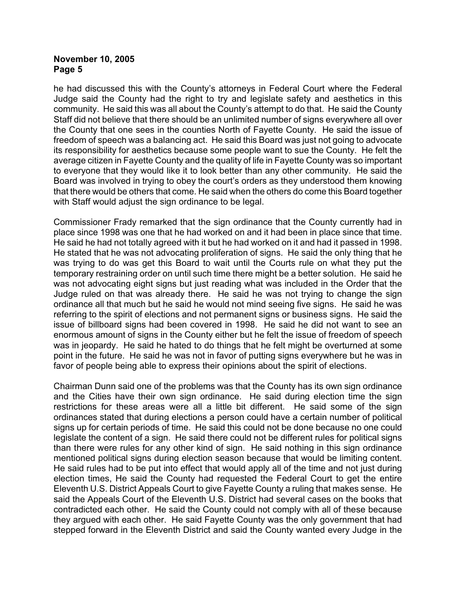he had discussed this with the County's attorneys in Federal Court where the Federal Judge said the County had the right to try and legislate safety and aesthetics in this community. He said this was all about the County's attempt to do that. He said the County Staff did not believe that there should be an unlimited number of signs everywhere all over the County that one sees in the counties North of Fayette County. He said the issue of freedom of speech was a balancing act. He said this Board was just not going to advocate its responsibility for aesthetics because some people want to sue the County. He felt the average citizen in Fayette County and the quality of life in Fayette County was so important to everyone that they would like it to look better than any other community. He said the Board was involved in trying to obey the court's orders as they understood them knowing that there would be others that come. He said when the others do come this Board together with Staff would adjust the sign ordinance to be legal.

Commissioner Frady remarked that the sign ordinance that the County currently had in place since 1998 was one that he had worked on and it had been in place since that time. He said he had not totally agreed with it but he had worked on it and had it passed in 1998. He stated that he was not advocating proliferation of signs. He said the only thing that he was trying to do was get this Board to wait until the Courts rule on what they put the temporary restraining order on until such time there might be a better solution. He said he was not advocating eight signs but just reading what was included in the Order that the Judge ruled on that was already there. He said he was not trying to change the sign ordinance all that much but he said he would not mind seeing five signs. He said he was referring to the spirit of elections and not permanent signs or business signs. He said the issue of billboard signs had been covered in 1998. He said he did not want to see an enormous amount of signs in the County either but he felt the issue of freedom of speech was in jeopardy. He said he hated to do things that he felt might be overturned at some point in the future. He said he was not in favor of putting signs everywhere but he was in favor of people being able to express their opinions about the spirit of elections.

Chairman Dunn said one of the problems was that the County has its own sign ordinance and the Cities have their own sign ordinance. He said during election time the sign restrictions for these areas were all a little bit different. He said some of the sign ordinances stated that during elections a person could have a certain number of political signs up for certain periods of time. He said this could not be done because no one could legislate the content of a sign. He said there could not be different rules for political signs than there were rules for any other kind of sign. He said nothing in this sign ordinance mentioned political signs during election season because that would be limiting content. He said rules had to be put into effect that would apply all of the time and not just during election times, He said the County had requested the Federal Court to get the entire Eleventh U.S. District Appeals Court to give Fayette County a ruling that makes sense. He said the Appeals Court of the Eleventh U.S. District had several cases on the books that contradicted each other. He said the County could not comply with all of these because they argued with each other. He said Fayette County was the only government that had stepped forward in the Eleventh District and said the County wanted every Judge in the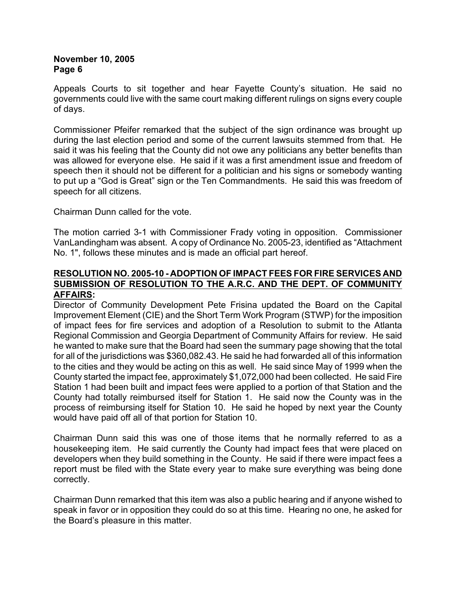Appeals Courts to sit together and hear Fayette County's situation. He said no governments could live with the same court making different rulings on signs every couple of days.

Commissioner Pfeifer remarked that the subject of the sign ordinance was brought up during the last election period and some of the current lawsuits stemmed from that. He said it was his feeling that the County did not owe any politicians any better benefits than was allowed for everyone else. He said if it was a first amendment issue and freedom of speech then it should not be different for a politician and his signs or somebody wanting to put up a "God is Great" sign or the Ten Commandments. He said this was freedom of speech for all citizens.

Chairman Dunn called for the vote.

The motion carried 3-1 with Commissioner Frady voting in opposition. Commissioner VanLandingham was absent. A copy of Ordinance No. 2005-23, identified as "Attachment No. 1", follows these minutes and is made an official part hereof.

#### **RESOLUTION NO. 2005-10 - ADOPTION OF IMPACT FEES FOR FIRE SERVICES AND SUBMISSION OF RESOLUTION TO THE A.R.C. AND THE DEPT. OF COMMUNITY AFFAIRS:**

Director of Community Development Pete Frisina updated the Board on the Capital Improvement Element (CIE) and the Short Term Work Program (STWP) for the imposition of impact fees for fire services and adoption of a Resolution to submit to the Atlanta Regional Commission and Georgia Department of Community Affairs for review. He said he wanted to make sure that the Board had seen the summary page showing that the total for all of the jurisdictions was \$360,082.43. He said he had forwarded all of this information to the cities and they would be acting on this as well. He said since May of 1999 when the County started the impact fee, approximately \$1,072,000 had been collected. He said Fire Station 1 had been built and impact fees were applied to a portion of that Station and the County had totally reimbursed itself for Station 1. He said now the County was in the process of reimbursing itself for Station 10. He said he hoped by next year the County would have paid off all of that portion for Station 10.

Chairman Dunn said this was one of those items that he normally referred to as a housekeeping item. He said currently the County had impact fees that were placed on developers when they build something in the County. He said if there were impact fees a report must be filed with the State every year to make sure everything was being done correctly.

Chairman Dunn remarked that this item was also a public hearing and if anyone wished to speak in favor or in opposition they could do so at this time. Hearing no one, he asked for the Board's pleasure in this matter.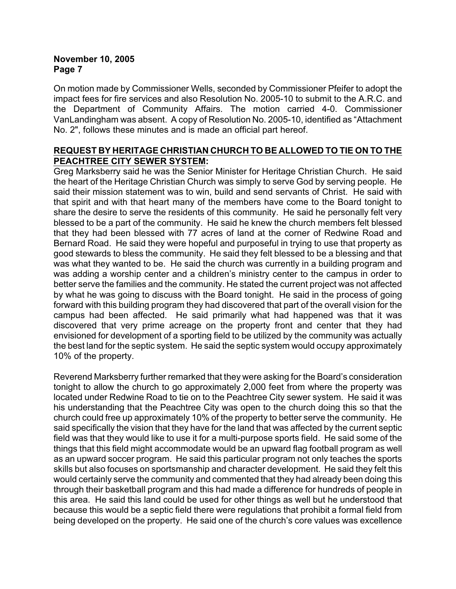On motion made by Commissioner Wells, seconded by Commissioner Pfeifer to adopt the impact fees for fire services and also Resolution No. 2005-10 to submit to the A.R.C. and the Department of Community Affairs. The motion carried 4-0. Commissioner VanLandingham was absent. A copy of Resolution No. 2005-10, identified as "Attachment No. 2", follows these minutes and is made an official part hereof.

## **REQUEST BY HERITAGE CHRISTIAN CHURCH TO BE ALLOWED TO TIE ON TO THE PEACHTREE CITY SEWER SYSTEM:**

Greg Marksberry said he was the Senior Minister for Heritage Christian Church. He said the heart of the Heritage Christian Church was simply to serve God by serving people. He said their mission statement was to win, build and send servants of Christ. He said with that spirit and with that heart many of the members have come to the Board tonight to share the desire to serve the residents of this community. He said he personally felt very blessed to be a part of the community. He said he knew the church members felt blessed that they had been blessed with 77 acres of land at the corner of Redwine Road and Bernard Road. He said they were hopeful and purposeful in trying to use that property as good stewards to bless the community. He said they felt blessed to be a blessing and that was what they wanted to be. He said the church was currently in a building program and was adding a worship center and a children's ministry center to the campus in order to better serve the families and the community. He stated the current project was not affected by what he was going to discuss with the Board tonight. He said in the process of going forward with this building program they had discovered that part of the overall vision for the campus had been affected. He said primarily what had happened was that it was discovered that very prime acreage on the property front and center that they had envisioned for development of a sporting field to be utilized by the community was actually the best land for the septic system. He said the septic system would occupy approximately 10% of the property.

Reverend Marksberry further remarked that they were asking for the Board's consideration tonight to allow the church to go approximately 2,000 feet from where the property was located under Redwine Road to tie on to the Peachtree City sewer system. He said it was his understanding that the Peachtree City was open to the church doing this so that the church could free up approximately 10% of the property to better serve the community. He said specifically the vision that they have for the land that was affected by the current septic field was that they would like to use it for a multi-purpose sports field. He said some of the things that this field might accommodate would be an upward flag football program as well as an upward soccer program. He said this particular program not only teaches the sports skills but also focuses on sportsmanship and character development. He said they felt this would certainly serve the community and commented that they had already been doing this through their basketball program and this had made a difference for hundreds of people in this area. He said this land could be used for other things as well but he understood that because this would be a septic field there were regulations that prohibit a formal field from being developed on the property. He said one of the church's core values was excellence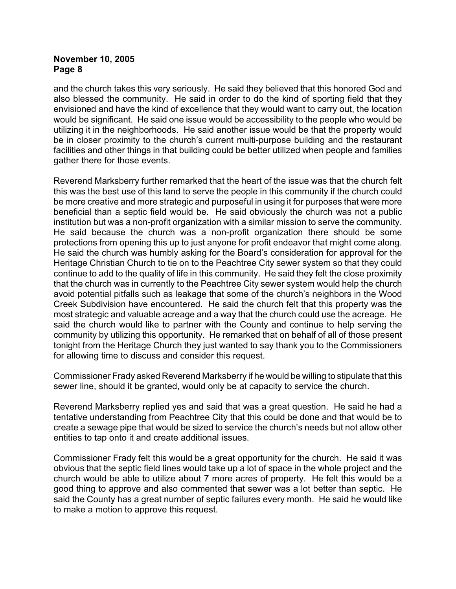and the church takes this very seriously. He said they believed that this honored God and also blessed the community. He said in order to do the kind of sporting field that they envisioned and have the kind of excellence that they would want to carry out, the location would be significant. He said one issue would be accessibility to the people who would be utilizing it in the neighborhoods. He said another issue would be that the property would be in closer proximity to the church's current multi-purpose building and the restaurant facilities and other things in that building could be better utilized when people and families gather there for those events.

Reverend Marksberry further remarked that the heart of the issue was that the church felt this was the best use of this land to serve the people in this community if the church could be more creative and more strategic and purposeful in using it for purposes that were more beneficial than a septic field would be. He said obviously the church was not a public institution but was a non-profit organization with a similar mission to serve the community. He said because the church was a non-profit organization there should be some protections from opening this up to just anyone for profit endeavor that might come along. He said the church was humbly asking for the Board's consideration for approval for the Heritage Christian Church to tie on to the Peachtree City sewer system so that they could continue to add to the quality of life in this community. He said they felt the close proximity that the church was in currently to the Peachtree City sewer system would help the church avoid potential pitfalls such as leakage that some of the church's neighbors in the Wood Creek Subdivision have encountered. He said the church felt that this property was the most strategic and valuable acreage and a way that the church could use the acreage. He said the church would like to partner with the County and continue to help serving the community by utilizing this opportunity. He remarked that on behalf of all of those present tonight from the Heritage Church they just wanted to say thank you to the Commissioners for allowing time to discuss and consider this request.

Commissioner Frady asked Reverend Marksberry if he would be willing to stipulate that this sewer line, should it be granted, would only be at capacity to service the church.

Reverend Marksberry replied yes and said that was a great question. He said he had a tentative understanding from Peachtree City that this could be done and that would be to create a sewage pipe that would be sized to service the church's needs but not allow other entities to tap onto it and create additional issues.

Commissioner Frady felt this would be a great opportunity for the church. He said it was obvious that the septic field lines would take up a lot of space in the whole project and the church would be able to utilize about 7 more acres of property. He felt this would be a good thing to approve and also commented that sewer was a lot better than septic. He said the County has a great number of septic failures every month. He said he would like to make a motion to approve this request.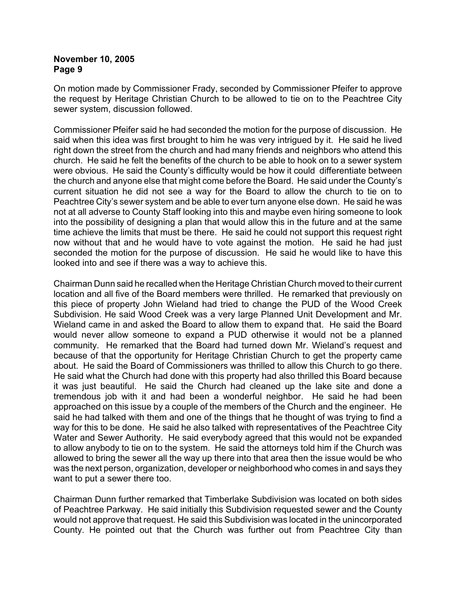On motion made by Commissioner Frady, seconded by Commissioner Pfeifer to approve the request by Heritage Christian Church to be allowed to tie on to the Peachtree City sewer system, discussion followed.

Commissioner Pfeifer said he had seconded the motion for the purpose of discussion. He said when this idea was first brought to him he was very intrigued by it. He said he lived right down the street from the church and had many friends and neighbors who attend this church. He said he felt the benefits of the church to be able to hook on to a sewer system were obvious. He said the County's difficulty would be how it could differentiate between the church and anyone else that might come before the Board. He said under the County's current situation he did not see a way for the Board to allow the church to tie on to Peachtree City's sewer system and be able to ever turn anyone else down. He said he was not at all adverse to County Staff looking into this and maybe even hiring someone to look into the possibility of designing a plan that would allow this in the future and at the same time achieve the limits that must be there. He said he could not support this request right now without that and he would have to vote against the motion. He said he had just seconded the motion for the purpose of discussion. He said he would like to have this looked into and see if there was a way to achieve this.

Chairman Dunn said he recalled when the Heritage Christian Church moved to their current location and all five of the Board members were thrilled. He remarked that previously on this piece of property John Wieland had tried to change the PUD of the Wood Creek Subdivision. He said Wood Creek was a very large Planned Unit Development and Mr. Wieland came in and asked the Board to allow them to expand that. He said the Board would never allow someone to expand a PUD otherwise it would not be a planned community. He remarked that the Board had turned down Mr. Wieland's request and because of that the opportunity for Heritage Christian Church to get the property came about. He said the Board of Commissioners was thrilled to allow this Church to go there. He said what the Church had done with this property had also thrilled this Board because it was just beautiful. He said the Church had cleaned up the lake site and done a tremendous job with it and had been a wonderful neighbor. He said he had been approached on this issue by a couple of the members of the Church and the engineer. He said he had talked with them and one of the things that he thought of was trying to find a way for this to be done. He said he also talked with representatives of the Peachtree City Water and Sewer Authority. He said everybody agreed that this would not be expanded to allow anybody to tie on to the system. He said the attorneys told him if the Church was allowed to bring the sewer all the way up there into that area then the issue would be who was the next person, organization, developer or neighborhood who comes in and says they want to put a sewer there too.

Chairman Dunn further remarked that Timberlake Subdivision was located on both sides of Peachtree Parkway. He said initially this Subdivision requested sewer and the County would not approve that request. He said this Subdivision was located in the unincorporated County. He pointed out that the Church was further out from Peachtree City than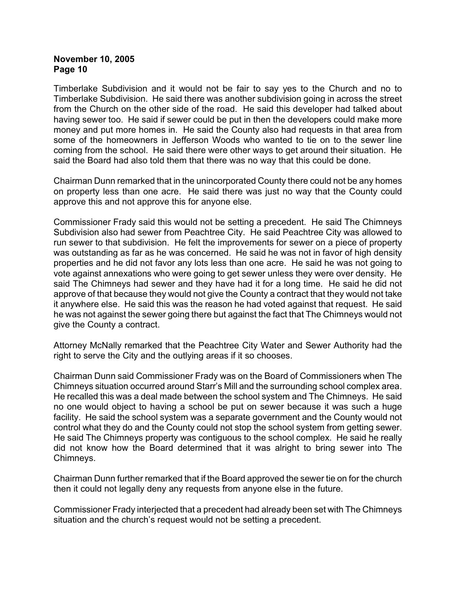Timberlake Subdivision and it would not be fair to say yes to the Church and no to Timberlake Subdivision. He said there was another subdivision going in across the street from the Church on the other side of the road. He said this developer had talked about having sewer too. He said if sewer could be put in then the developers could make more money and put more homes in. He said the County also had requests in that area from some of the homeowners in Jefferson Woods who wanted to tie on to the sewer line coming from the school. He said there were other ways to get around their situation. He said the Board had also told them that there was no way that this could be done.

Chairman Dunn remarked that in the unincorporated County there could not be any homes on property less than one acre. He said there was just no way that the County could approve this and not approve this for anyone else.

Commissioner Frady said this would not be setting a precedent. He said The Chimneys Subdivision also had sewer from Peachtree City. He said Peachtree City was allowed to run sewer to that subdivision. He felt the improvements for sewer on a piece of property was outstanding as far as he was concerned. He said he was not in favor of high density properties and he did not favor any lots less than one acre. He said he was not going to vote against annexations who were going to get sewer unless they were over density. He said The Chimneys had sewer and they have had it for a long time. He said he did not approve of that because they would not give the County a contract that they would not take it anywhere else. He said this was the reason he had voted against that request. He said he was not against the sewer going there but against the fact that The Chimneys would not give the County a contract.

Attorney McNally remarked that the Peachtree City Water and Sewer Authority had the right to serve the City and the outlying areas if it so chooses.

Chairman Dunn said Commissioner Frady was on the Board of Commissioners when The Chimneys situation occurred around Starr's Mill and the surrounding school complex area. He recalled this was a deal made between the school system and The Chimneys. He said no one would object to having a school be put on sewer because it was such a huge facility. He said the school system was a separate government and the County would not control what they do and the County could not stop the school system from getting sewer. He said The Chimneys property was contiguous to the school complex. He said he really did not know how the Board determined that it was alright to bring sewer into The Chimneys.

Chairman Dunn further remarked that if the Board approved the sewer tie on for the church then it could not legally deny any requests from anyone else in the future.

Commissioner Frady interjected that a precedent had already been set with The Chimneys situation and the church's request would not be setting a precedent.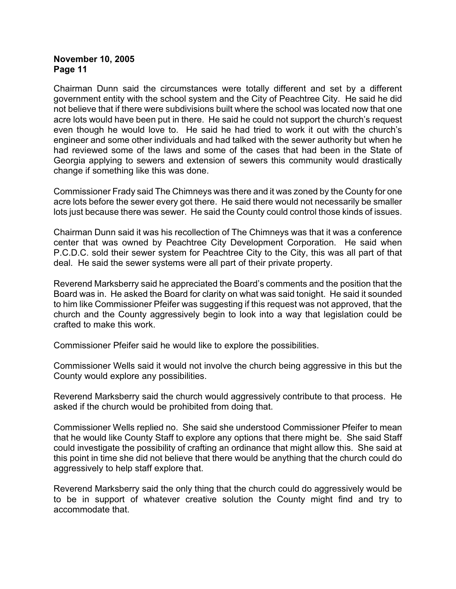Chairman Dunn said the circumstances were totally different and set by a different government entity with the school system and the City of Peachtree City. He said he did not believe that if there were subdivisions built where the school was located now that one acre lots would have been put in there. He said he could not support the church's request even though he would love to. He said he had tried to work it out with the church's engineer and some other individuals and had talked with the sewer authority but when he had reviewed some of the laws and some of the cases that had been in the State of Georgia applying to sewers and extension of sewers this community would drastically change if something like this was done.

Commissioner Frady said The Chimneys was there and it was zoned by the County for one acre lots before the sewer every got there. He said there would not necessarily be smaller lots just because there was sewer. He said the County could control those kinds of issues.

Chairman Dunn said it was his recollection of The Chimneys was that it was a conference center that was owned by Peachtree City Development Corporation. He said when P.C.D.C. sold their sewer system for Peachtree City to the City, this was all part of that deal. He said the sewer systems were all part of their private property.

Reverend Marksberry said he appreciated the Board's comments and the position that the Board was in. He asked the Board for clarity on what was said tonight. He said it sounded to him like Commissioner Pfeifer was suggesting if this request was not approved, that the church and the County aggressively begin to look into a way that legislation could be crafted to make this work.

Commissioner Pfeifer said he would like to explore the possibilities.

Commissioner Wells said it would not involve the church being aggressive in this but the County would explore any possibilities.

Reverend Marksberry said the church would aggressively contribute to that process. He asked if the church would be prohibited from doing that.

Commissioner Wells replied no. She said she understood Commissioner Pfeifer to mean that he would like County Staff to explore any options that there might be. She said Staff could investigate the possibility of crafting an ordinance that might allow this. She said at this point in time she did not believe that there would be anything that the church could do aggressively to help staff explore that.

Reverend Marksberry said the only thing that the church could do aggressively would be to be in support of whatever creative solution the County might find and try to accommodate that.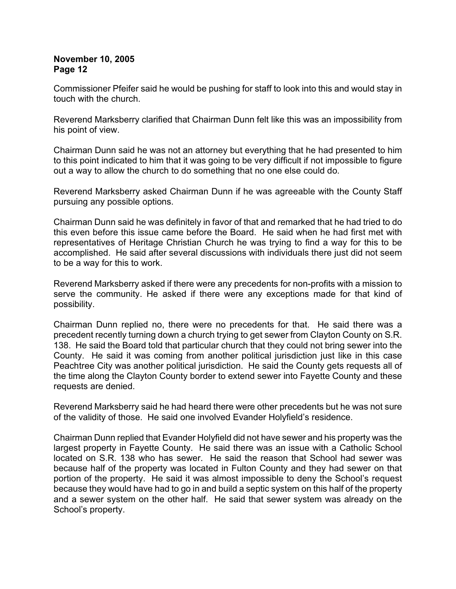Commissioner Pfeifer said he would be pushing for staff to look into this and would stay in touch with the church.

Reverend Marksberry clarified that Chairman Dunn felt like this was an impossibility from his point of view.

Chairman Dunn said he was not an attorney but everything that he had presented to him to this point indicated to him that it was going to be very difficult if not impossible to figure out a way to allow the church to do something that no one else could do.

Reverend Marksberry asked Chairman Dunn if he was agreeable with the County Staff pursuing any possible options.

Chairman Dunn said he was definitely in favor of that and remarked that he had tried to do this even before this issue came before the Board. He said when he had first met with representatives of Heritage Christian Church he was trying to find a way for this to be accomplished. He said after several discussions with individuals there just did not seem to be a way for this to work.

Reverend Marksberry asked if there were any precedents for non-profits with a mission to serve the community. He asked if there were any exceptions made for that kind of possibility.

Chairman Dunn replied no, there were no precedents for that. He said there was a precedent recently turning down a church trying to get sewer from Clayton County on S.R. 138. He said the Board told that particular church that they could not bring sewer into the County. He said it was coming from another political jurisdiction just like in this case Peachtree City was another political jurisdiction. He said the County gets requests all of the time along the Clayton County border to extend sewer into Fayette County and these requests are denied.

Reverend Marksberry said he had heard there were other precedents but he was not sure of the validity of those. He said one involved Evander Holyfield's residence.

Chairman Dunn replied that Evander Holyfield did not have sewer and his property was the largest property in Fayette County. He said there was an issue with a Catholic School located on S.R. 138 who has sewer. He said the reason that School had sewer was because half of the property was located in Fulton County and they had sewer on that portion of the property. He said it was almost impossible to deny the School's request because they would have had to go in and build a septic system on this half of the property and a sewer system on the other half. He said that sewer system was already on the School's property.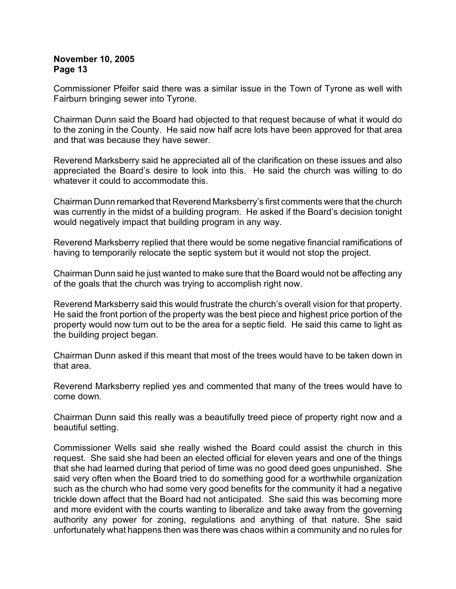Commissioner Pfeifer said there was a similar issue in the Town of Tyrone as well with Fairburn bringing sewer into Tyrone.

Chairman Dunn said the Board had objected to that request because of what it would do to the zoning in the County. He said now half acre lots have been approved for that area and that was because they have sewer.

Reverend Marksberry said he appreciated all of the clarification on these issues and also appreciated the Board's desire to look into this. He said the church was willing to do whatever it could to accommodate this.

Chairman Dunn remarked that Reverend Marksberry's first comments were that the church was currently in the midst of a building program. He asked if the Board's decision tonight would negatively impact that building program in any way.

Reverend Marksberry replied that there would be some negative financial ramifications of having to temporarily relocate the septic system but it would not stop the project.

Chairman Dunn said he just wanted to make sure that the Board would not be affecting any of the goals that the church was trying to accomplish right now.

Reverend Marksberry said this would frustrate the church's overall vision for that property. He said the front portion of the property was the best piece and highest price portion of the property would now turn out to be the area for a septic field. He said this came to light as the building project began.

Chairman Dunn asked if this meant that most of the trees would have to be taken down in that area.

Reverend Marksberry replied yes and commented that many of the trees would have to come down.

Chairman Dunn said this really was a beautifully treed piece of property right now and a beautiful setting.

Commissioner Wells said she really wished the Board could assist the church in this request. She said she had been an elected official for eleven years and one of the things that she had learned during that period of time was no good deed goes unpunished. She said very often when the Board tried to do something good for a worthwhile organization such as the church who had some very good benefits for the community it had a negative trickle down affect that the Board had not anticipated. She said this was becoming more and more evident with the courts wanting to liberalize and take away from the governing authority any power for zoning, regulations and anything of that nature. She said unfortunately what happens then was there was chaos within a community and no rules for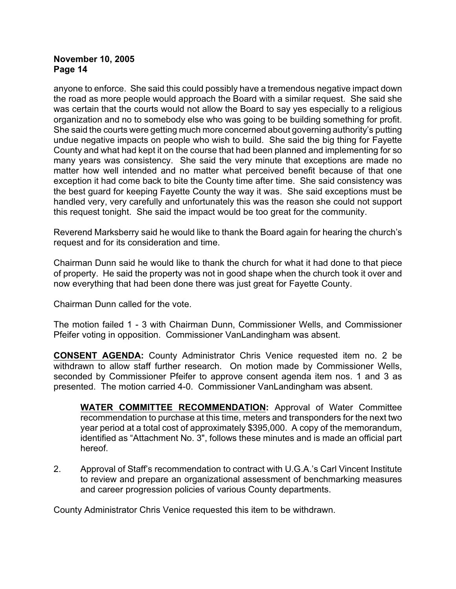anyone to enforce. She said this could possibly have a tremendous negative impact down the road as more people would approach the Board with a similar request. She said she was certain that the courts would not allow the Board to say yes especially to a religious organization and no to somebody else who was going to be building something for profit. She said the courts were getting much more concerned about governing authority's putting undue negative impacts on people who wish to build. She said the big thing for Fayette County and what had kept it on the course that had been planned and implementing for so many years was consistency. She said the very minute that exceptions are made no matter how well intended and no matter what perceived benefit because of that one exception it had come back to bite the County time after time. She said consistency was the best guard for keeping Fayette County the way it was. She said exceptions must be handled very, very carefully and unfortunately this was the reason she could not support this request tonight. She said the impact would be too great for the community.

Reverend Marksberry said he would like to thank the Board again for hearing the church's request and for its consideration and time.

Chairman Dunn said he would like to thank the church for what it had done to that piece of property. He said the property was not in good shape when the church took it over and now everything that had been done there was just great for Fayette County.

Chairman Dunn called for the vote.

The motion failed 1 - 3 with Chairman Dunn, Commissioner Wells, and Commissioner Pfeifer voting in opposition. Commissioner VanLandingham was absent.

**CONSENT AGENDA:** County Administrator Chris Venice requested item no. 2 be withdrawn to allow staff further research. On motion made by Commissioner Wells, seconded by Commissioner Pfeifer to approve consent agenda item nos. 1 and 3 as presented. The motion carried 4-0. Commissioner VanLandingham was absent.

**WATER COMMITTEE RECOMMENDATION:** Approval of Water Committee recommendation to purchase at this time, meters and transponders for the next two year period at a total cost of approximately \$395,000. A copy of the memorandum, identified as "Attachment No. 3", follows these minutes and is made an official part hereof.

2. Approval of Staff's recommendation to contract with U.G.A.'s Carl Vincent Institute to review and prepare an organizational assessment of benchmarking measures and career progression policies of various County departments.

County Administrator Chris Venice requested this item to be withdrawn.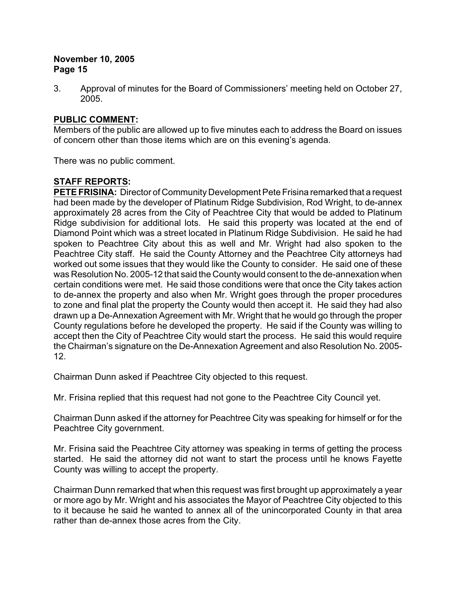3. Approval of minutes for the Board of Commissioners' meeting held on October 27, 2005.

## **PUBLIC COMMENT:**

Members of the public are allowed up to five minutes each to address the Board on issues of concern other than those items which are on this evening's agenda.

There was no public comment.

# **STAFF REPORTS:**

**PETE FRISINA:** Director of Community Development Pete Frisina remarked that a request had been made by the developer of Platinum Ridge Subdivision, Rod Wright, to de-annex approximately 28 acres from the City of Peachtree City that would be added to Platinum Ridge subdivision for additional lots. He said this property was located at the end of Diamond Point which was a street located in Platinum Ridge Subdivision. He said he had spoken to Peachtree City about this as well and Mr. Wright had also spoken to the Peachtree City staff. He said the County Attorney and the Peachtree City attorneys had worked out some issues that they would like the County to consider. He said one of these was Resolution No. 2005-12 that said the County would consent to the de-annexation when certain conditions were met. He said those conditions were that once the City takes action to de-annex the property and also when Mr. Wright goes through the proper procedures to zone and final plat the property the County would then accept it. He said they had also drawn up a De-Annexation Agreement with Mr. Wright that he would go through the proper County regulations before he developed the property. He said if the County was willing to accept then the City of Peachtree City would start the process. He said this would require the Chairman's signature on the De-Annexation Agreement and also Resolution No. 2005- 12.

Chairman Dunn asked if Peachtree City objected to this request.

Mr. Frisina replied that this request had not gone to the Peachtree City Council yet.

Chairman Dunn asked if the attorney for Peachtree City was speaking for himself or for the Peachtree City government.

Mr. Frisina said the Peachtree City attorney was speaking in terms of getting the process started. He said the attorney did not want to start the process until he knows Fayette County was willing to accept the property.

Chairman Dunn remarked that when this request was first brought up approximately a year or more ago by Mr. Wright and his associates the Mayor of Peachtree City objected to this to it because he said he wanted to annex all of the unincorporated County in that area rather than de-annex those acres from the City.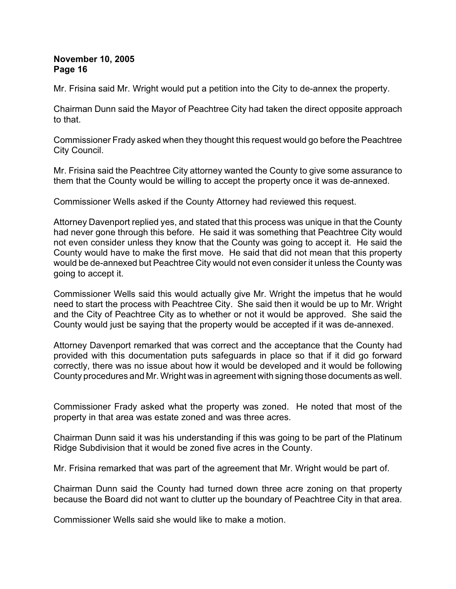Mr. Frisina said Mr. Wright would put a petition into the City to de-annex the property.

Chairman Dunn said the Mayor of Peachtree City had taken the direct opposite approach to that.

Commissioner Frady asked when they thought this request would go before the Peachtree City Council.

Mr. Frisina said the Peachtree City attorney wanted the County to give some assurance to them that the County would be willing to accept the property once it was de-annexed.

Commissioner Wells asked if the County Attorney had reviewed this request.

Attorney Davenport replied yes, and stated that this process was unique in that the County had never gone through this before. He said it was something that Peachtree City would not even consider unless they know that the County was going to accept it. He said the County would have to make the first move. He said that did not mean that this property would be de-annexed but Peachtree City would not even consider it unless the County was going to accept it.

Commissioner Wells said this would actually give Mr. Wright the impetus that he would need to start the process with Peachtree City. She said then it would be up to Mr. Wright and the City of Peachtree City as to whether or not it would be approved. She said the County would just be saying that the property would be accepted if it was de-annexed.

Attorney Davenport remarked that was correct and the acceptance that the County had provided with this documentation puts safeguards in place so that if it did go forward correctly, there was no issue about how it would be developed and it would be following County procedures and Mr. Wright was in agreement with signing those documents as well.

Commissioner Frady asked what the property was zoned. He noted that most of the property in that area was estate zoned and was three acres.

Chairman Dunn said it was his understanding if this was going to be part of the Platinum Ridge Subdivision that it would be zoned five acres in the County.

Mr. Frisina remarked that was part of the agreement that Mr. Wright would be part of.

Chairman Dunn said the County had turned down three acre zoning on that property because the Board did not want to clutter up the boundary of Peachtree City in that area.

Commissioner Wells said she would like to make a motion.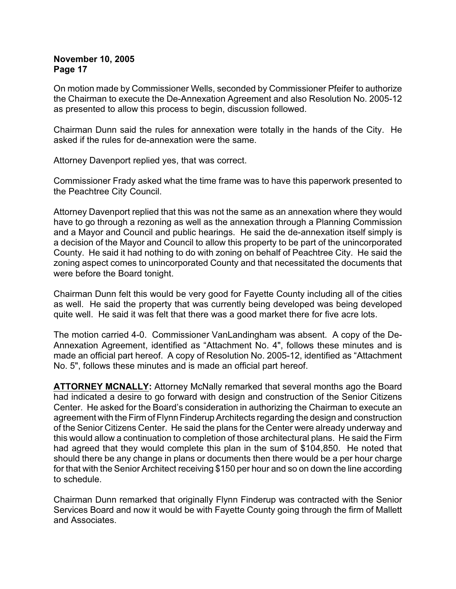On motion made by Commissioner Wells, seconded by Commissioner Pfeifer to authorize the Chairman to execute the De-Annexation Agreement and also Resolution No. 2005-12 as presented to allow this process to begin, discussion followed.

Chairman Dunn said the rules for annexation were totally in the hands of the City. He asked if the rules for de-annexation were the same.

Attorney Davenport replied yes, that was correct.

Commissioner Frady asked what the time frame was to have this paperwork presented to the Peachtree City Council.

Attorney Davenport replied that this was not the same as an annexation where they would have to go through a rezoning as well as the annexation through a Planning Commission and a Mayor and Council and public hearings. He said the de-annexation itself simply is a decision of the Mayor and Council to allow this property to be part of the unincorporated County. He said it had nothing to do with zoning on behalf of Peachtree City. He said the zoning aspect comes to unincorporated County and that necessitated the documents that were before the Board tonight.

Chairman Dunn felt this would be very good for Fayette County including all of the cities as well. He said the property that was currently being developed was being developed quite well. He said it was felt that there was a good market there for five acre lots.

The motion carried 4-0. Commissioner VanLandingham was absent. A copy of the De-Annexation Agreement, identified as "Attachment No. 4", follows these minutes and is made an official part hereof. A copy of Resolution No. 2005-12, identified as "Attachment No. 5", follows these minutes and is made an official part hereof.

**ATTORNEY MCNALLY:** Attorney McNally remarked that several months ago the Board had indicated a desire to go forward with design and construction of the Senior Citizens Center. He asked for the Board's consideration in authorizing the Chairman to execute an agreement with the Firm of Flynn Finderup Architects regarding the design and construction of the Senior Citizens Center. He said the plans for the Center were already underway and this would allow a continuation to completion of those architectural plans. He said the Firm had agreed that they would complete this plan in the sum of \$104,850. He noted that should there be any change in plans or documents then there would be a per hour charge for that with the Senior Architect receiving \$150 per hour and so on down the line according to schedule.

Chairman Dunn remarked that originally Flynn Finderup was contracted with the Senior Services Board and now it would be with Fayette County going through the firm of Mallett and Associates.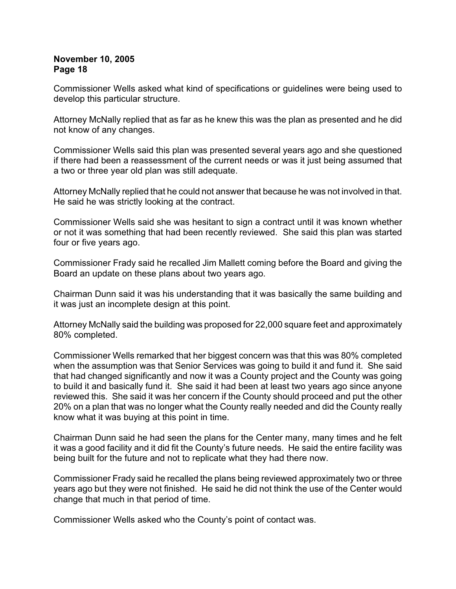Commissioner Wells asked what kind of specifications or guidelines were being used to develop this particular structure.

Attorney McNally replied that as far as he knew this was the plan as presented and he did not know of any changes.

Commissioner Wells said this plan was presented several years ago and she questioned if there had been a reassessment of the current needs or was it just being assumed that a two or three year old plan was still adequate.

Attorney McNally replied that he could not answer that because he was not involved in that. He said he was strictly looking at the contract.

Commissioner Wells said she was hesitant to sign a contract until it was known whether or not it was something that had been recently reviewed. She said this plan was started four or five years ago.

Commissioner Frady said he recalled Jim Mallett coming before the Board and giving the Board an update on these plans about two years ago.

Chairman Dunn said it was his understanding that it was basically the same building and it was just an incomplete design at this point.

Attorney McNally said the building was proposed for 22,000 square feet and approximately 80% completed.

Commissioner Wells remarked that her biggest concern was that this was 80% completed when the assumption was that Senior Services was going to build it and fund it. She said that had changed significantly and now it was a County project and the County was going to build it and basically fund it. She said it had been at least two years ago since anyone reviewed this. She said it was her concern if the County should proceed and put the other 20% on a plan that was no longer what the County really needed and did the County really know what it was buying at this point in time.

Chairman Dunn said he had seen the plans for the Center many, many times and he felt it was a good facility and it did fit the County's future needs. He said the entire facility was being built for the future and not to replicate what they had there now.

Commissioner Frady said he recalled the plans being reviewed approximately two or three years ago but they were not finished. He said he did not think the use of the Center would change that much in that period of time.

Commissioner Wells asked who the County's point of contact was.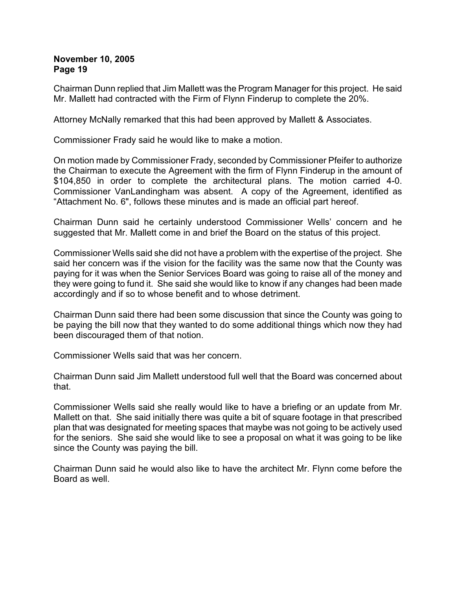Chairman Dunn replied that Jim Mallett was the Program Manager for this project. He said Mr. Mallett had contracted with the Firm of Flynn Finderup to complete the 20%.

Attorney McNally remarked that this had been approved by Mallett & Associates.

Commissioner Frady said he would like to make a motion.

On motion made by Commissioner Frady, seconded by Commissioner Pfeifer to authorize the Chairman to execute the Agreement with the firm of Flynn Finderup in the amount of \$104,850 in order to complete the architectural plans. The motion carried 4-0. Commissioner VanLandingham was absent. A copy of the Agreement, identified as "Attachment No. 6", follows these minutes and is made an official part hereof.

Chairman Dunn said he certainly understood Commissioner Wells' concern and he suggested that Mr. Mallett come in and brief the Board on the status of this project.

Commissioner Wells said she did not have a problem with the expertise of the project. She said her concern was if the vision for the facility was the same now that the County was paying for it was when the Senior Services Board was going to raise all of the money and they were going to fund it. She said she would like to know if any changes had been made accordingly and if so to whose benefit and to whose detriment.

Chairman Dunn said there had been some discussion that since the County was going to be paying the bill now that they wanted to do some additional things which now they had been discouraged them of that notion.

Commissioner Wells said that was her concern.

Chairman Dunn said Jim Mallett understood full well that the Board was concerned about that.

Commissioner Wells said she really would like to have a briefing or an update from Mr. Mallett on that. She said initially there was quite a bit of square footage in that prescribed plan that was designated for meeting spaces that maybe was not going to be actively used for the seniors. She said she would like to see a proposal on what it was going to be like since the County was paying the bill.

Chairman Dunn said he would also like to have the architect Mr. Flynn come before the Board as well.